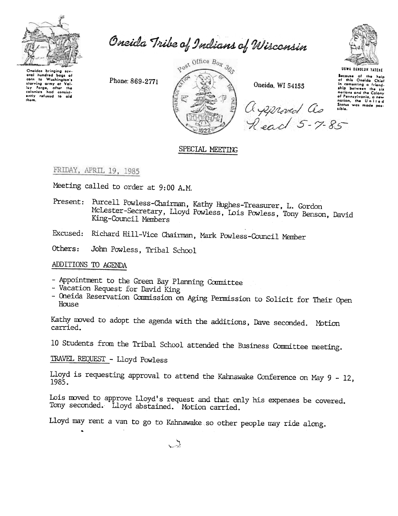

Oneida Tribe of Indians of Wisconsin

Oneidas bringing several hundred bags of corn to Washington's<br>starving army at Val-<br>loy Forge, ofter the<br>colonists had consistently refused to aid<br>them.

Phone: 869-2771



Oneida, WI 54155

agenered as

Read 5-7-85



Because of the help<br>of this Oneida Chief or mis Uneida Chief<br>in cementing a friend-<br>ship botween the six nations and the Colony of Pennsylvania, a new Status was made pos-<br>sible.

# SPECIAL MEETING

## FRIDAY, APRIL 19, 1985

Meeting called to order at 9:00 A.M.

Present: Purcell Powless-Chairman, Kathy Hughes-Treasurer, L. Gordon McLester-Secretary, Lloyd Powless, Lois Powless, Tony Benson, David King-Council Members

Excused: Richard Hill-Vice Chairman, Mark Powless-Council Member

Others: John Powless, Tribal School

## ADDITIONS TO AGENDA

- Appointment to the Green Bay Planning Committee
- Vacation Request for David King
- Oneida Reservation Commission on Aging Permission to Solicit for Their Open House

Kathy moved to adopt the agenda with the additions, Dave seconded. Motion carried.

10 Students from the Tribal School attended the Business Committee meeting.

TRAVEL REQUEST - Lloyd Powless

Lloyd is requesting approval to attend the Kahnawake Conference on May  $9 - 12$ , 1985.

Lois moved to approve Lloyd's request and that only his expenses be covered. Tony seconded. Lloyd abstained. Motion carried.

Lloyd may rent a van to go to Kahnawake so other people may ride along.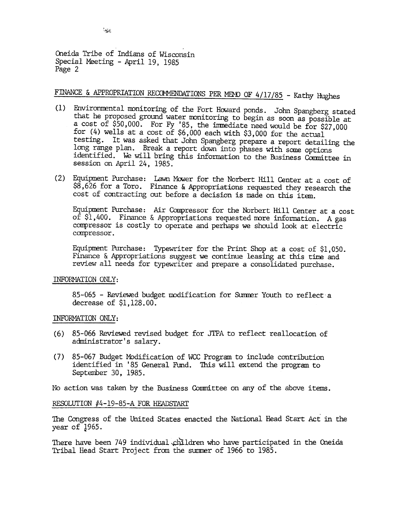Oneida Tribe of Indians of Wisconsin Special Meeting - April 19, 1985 Page 2

## FINANCE & APPROPRIATION RECOMMENDATIONS PER MEMO OF 4/17/85 - Kathy Hughes

- (1) Environmental monitoring of the Fort Howard ponds. John Spangberg stated that he proposed ground water monitoring to begin as soon as possible at a cost of \$50,000. For FY '85, the immediate need would be for \$27,000 for (4) wells at a cost of  $$6,000$  each with \$3,000 for the actual testing. It was asked that John Spangberg prepare a report detailing the long range plan. Break a report down into phases with some options identified. We will bring this information to the Business Comnittee in session on April 24, 1985.
- (2) Equipment Purchase: Lawn Mower for the Norbert Hill Center at a cost of  $$8,626$  for a Toro. Finance & Appropriations requested they research the cost of contracting out before a decision is made on this item.

Equipment Purchase: Air Compressor for the Norbert Hill Center at a cost of \$1,400. Finance & Appropriations requested more information. A gas compressor is costly to operate and perhaps we should look at electric compressor.

Equipment Purchase: Typewriter for the Print Shop at a cost of \$1,050. Finance & Appropriations suggest we continue leasing at this time and review all needs for typewriter and prepare a consolidated purchase.

### INFORMATION ONLY:

85-065 - Reviewed budget modification for Summer Youth to reflect a decrease of \$1,128.00.

### INFORMATION ONLY:

- (6) 85-066 Reviewed revised budget for JTPA to reflect reallocation of administrator's salary.
- (7) 85-067 Budget Modification of WCC Program to include contribution identified in '85 General Fund. This will extend the program to September 30,1985.

1'10 action was taken by the Business Conmittee on any of the above items.

### RESOLUTION #4-19-85-A FOR HEADSTART

The Congress of the United States enacted the National Head Start Act in the year of J965.

There have been 749 individual children who have participated in the Oneida Tribal Head Start Project from the summer of 1966 to 1985.

',~\S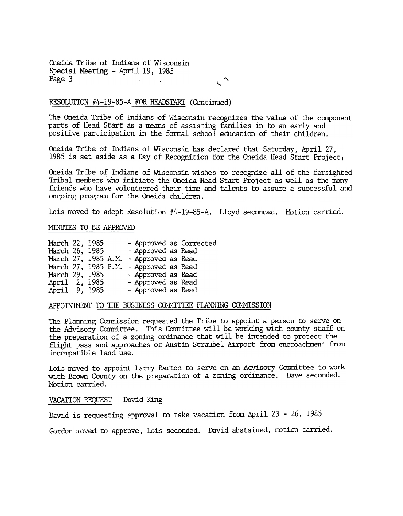Oneida Tribe of Indians of Wisconsin Special Meeting - April 19, 1985 Page 3

~

### RESOLUTION  $#4-19-85-A$  FOR HEADSTART (Continued)

The Oneida Tribe of Indians of Wisconsin recognizes the value of the component parts of Head Start as a means of assisting families in to an early and positive participation in the formal school education of their children.

Oneida Tribe of Indians of Wisconsin has declared that Saturday, April 27. 1985 is set aside as a Day of Recognition for the Oneida Head Start Project;

Oneida Tribe of Indians of Wisconsin wishes to recognize all of the farsighted Tribal members who initiate the Oneida Head Start Project as well as the many friends who have volunteered their time and talents to assure a successful and ongoing program for the Oneida children.

Lois moved to adopt Resolution #4-19-85-A. Lloyd seconded. Motion carried.

### MINUTES TO BE APPROVED

| March 22, 1985      |  |  |                                        | - Approved as Corrected |
|---------------------|--|--|----------------------------------------|-------------------------|
| March 26, 1985      |  |  | - Approved as Read                     |                         |
| March 27, 1985 A.M. |  |  | - Approved as Read                     |                         |
|                     |  |  | March 27, 1985 P.M. - Approved as Read |                         |
| March 29, 1985      |  |  | - Approved as Read                     |                         |
| April 2, 1985       |  |  | - Approved as Read                     |                         |
| April 9, 1985       |  |  | - Approved as Read                     |                         |

#### APPOININENT TO THE BUSINESS CONNITIEE PLANNING COMMISSION

The Planning Conmission requested the Tribe to appoint a person to serve on the Advisory Committee. This Committee will be working with county staff on the preparation of a zoning ordinance that will be intended to protect the flight pass and approaches of Austin Straubel Airport from encroachment from incompatible land use.

Lois moved to appoint Larry Barton to serve on an Advisory Committee to work with Brown County on the preparation of a zoning ordinance. Dave seconded. Motion carried.

VACATION REQUEST - David King

David is requesting approval to take vacation from April 23 - 26, 1985

Gordon moved to approve, Lois seconded. David abstained, motion carried.